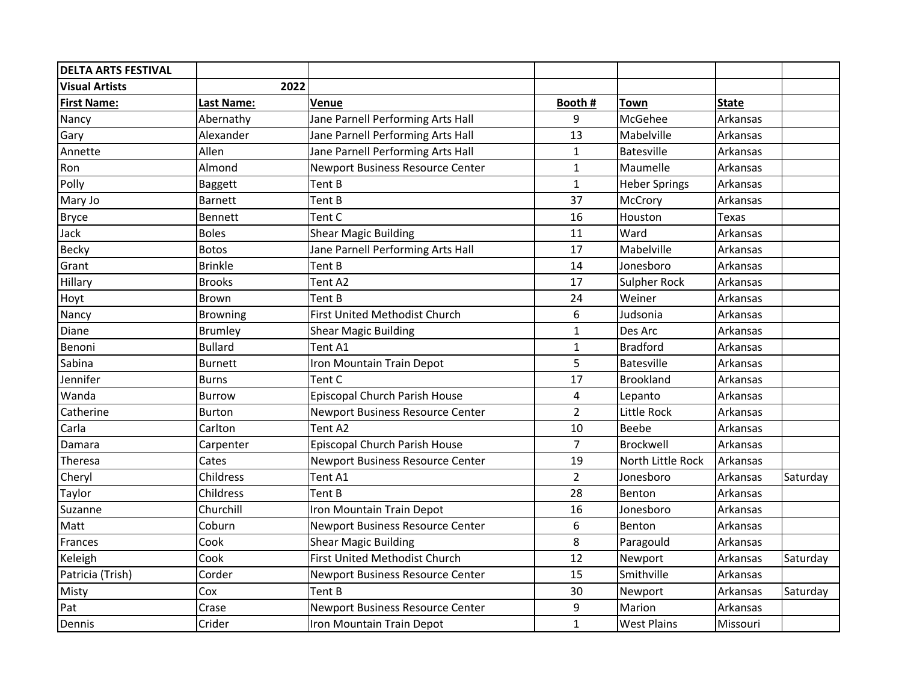| <b>DELTA ARTS FESTIVAL</b> |                   |                                         |                |                      |              |          |
|----------------------------|-------------------|-----------------------------------------|----------------|----------------------|--------------|----------|
| <b>Visual Artists</b>      | 2022              |                                         |                |                      |              |          |
| <b>First Name:</b>         | <b>Last Name:</b> | Venue                                   | Booth #        | <b>Town</b>          | <b>State</b> |          |
| Nancy                      | Abernathy         | Jane Parnell Performing Arts Hall       | 9              | McGehee              | Arkansas     |          |
| Gary                       | Alexander         | Jane Parnell Performing Arts Hall       | 13             | Mabelville           | Arkansas     |          |
| Annette                    | Allen             | Jane Parnell Performing Arts Hall       | $\mathbf{1}$   | <b>Batesville</b>    | Arkansas     |          |
| Ron                        | Almond            | Newport Business Resource Center        | $\mathbf{1}$   | Maumelle             | Arkansas     |          |
| Polly                      | <b>Baggett</b>    | Tent B                                  | $\mathbf{1}$   | <b>Heber Springs</b> | Arkansas     |          |
| Mary Jo                    | <b>Barnett</b>    | Tent B                                  | 37             | McCrory              | Arkansas     |          |
| <b>Bryce</b>               | Bennett           | Tent C                                  | 16             | Houston              | <b>Texas</b> |          |
| Jack                       | <b>Boles</b>      | <b>Shear Magic Building</b>             | 11             | Ward                 | Arkansas     |          |
| Becky                      | <b>Botos</b>      | Jane Parnell Performing Arts Hall       | 17             | Mabelville           | Arkansas     |          |
| Grant                      | <b>Brinkle</b>    | Tent B                                  | 14             | Jonesboro            | Arkansas     |          |
| Hillary                    | <b>Brooks</b>     | Tent A2                                 | 17             | Sulpher Rock         | Arkansas     |          |
| Hoyt                       | Brown             | Tent B                                  | 24             | Weiner               | Arkansas     |          |
| Nancy                      | <b>Browning</b>   | <b>First United Methodist Church</b>    | 6              | Judsonia             | Arkansas     |          |
| Diane                      | <b>Brumley</b>    | <b>Shear Magic Building</b>             | $\mathbf{1}$   | Des Arc              | Arkansas     |          |
| Benoni                     | <b>Bullard</b>    | Tent A1                                 | $\mathbf{1}$   | <b>Bradford</b>      | Arkansas     |          |
| Sabina                     | <b>Burnett</b>    | Iron Mountain Train Depot               | 5              | <b>Batesville</b>    | Arkansas     |          |
| Jennifer                   | <b>Burns</b>      | Tent C                                  | 17             | Brookland            | Arkansas     |          |
| Wanda                      | <b>Burrow</b>     | Episcopal Church Parish House           | 4              | Lepanto              | Arkansas     |          |
| Catherine                  | <b>Burton</b>     | Newport Business Resource Center        | $\overline{2}$ | Little Rock          | Arkansas     |          |
| Carla                      | Carlton           | Tent A2                                 | 10             | Beebe                | Arkansas     |          |
| Damara                     | Carpenter         | Episcopal Church Parish House           | $\overline{7}$ | Brockwell            | Arkansas     |          |
| Theresa                    | Cates             | Newport Business Resource Center        | 19             | North Little Rock    | Arkansas     |          |
| Cheryl                     | Childress         | Tent A1                                 | $\overline{2}$ | Jonesboro            | Arkansas     | Saturday |
| Taylor                     | Childress         | Tent B                                  | 28             | Benton               | Arkansas     |          |
| Suzanne                    | Churchill         | Iron Mountain Train Depot               | 16             | Jonesboro            | Arkansas     |          |
| Matt                       | Coburn            | <b>Newport Business Resource Center</b> | 6              | Benton               | Arkansas     |          |
| Frances                    | Cook              | <b>Shear Magic Building</b>             | 8              | Paragould            | Arkansas     |          |
| Keleigh                    | Cook              | First United Methodist Church           | 12             | Newport              | Arkansas     | Saturday |
| Patricia (Trish)           | Corder            | Newport Business Resource Center        | 15             | Smithville           | Arkansas     |          |
| Misty                      | Cox               | Tent B                                  | 30             | Newport              | Arkansas     | Saturday |
| Pat                        | Crase             | Newport Business Resource Center        | 9              | Marion               | Arkansas     |          |
| Dennis                     | Crider            | Iron Mountain Train Depot               | $\mathbf{1}$   | <b>West Plains</b>   | Missouri     |          |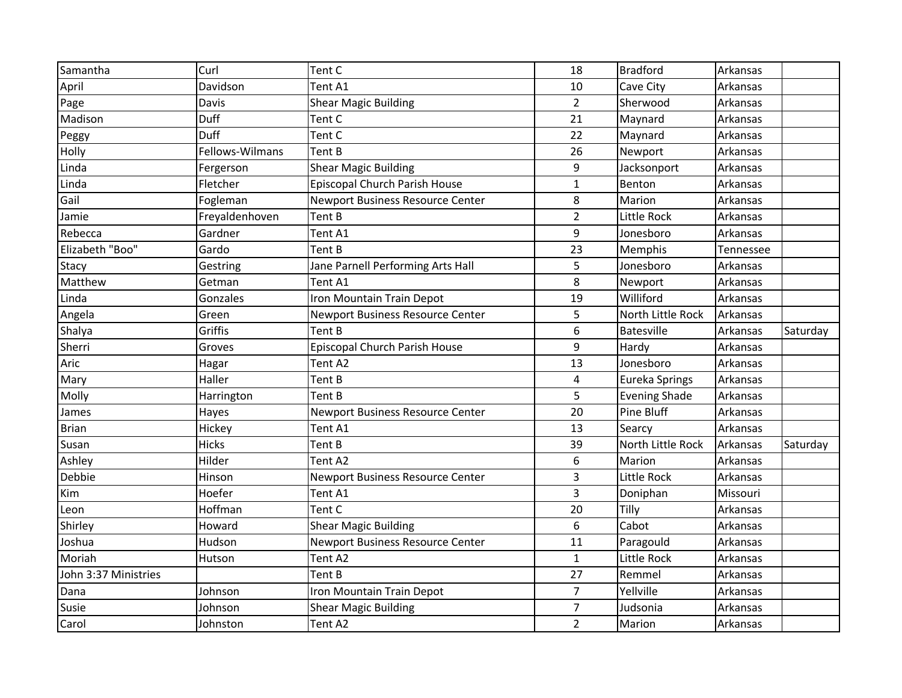| Samantha             | Curl            | Tent C                                  | 18             | <b>Bradford</b>      | Arkansas  |          |
|----------------------|-----------------|-----------------------------------------|----------------|----------------------|-----------|----------|
| April                | Davidson        | Tent A1                                 | 10             | Cave City            | Arkansas  |          |
| Page                 | Davis           | <b>Shear Magic Building</b>             | $\overline{2}$ | Sherwood             | Arkansas  |          |
| Madison              | Duff            | Tent C                                  | 21             | Maynard              | Arkansas  |          |
| Peggy                | Duff            | Tent C                                  | 22             | Maynard              | Arkansas  |          |
| Holly                | Fellows-Wilmans | Tent B                                  | 26             | Newport              | Arkansas  |          |
| Linda                | Fergerson       | <b>Shear Magic Building</b>             | 9              | Jacksonport          | Arkansas  |          |
| Linda                | Fletcher        | Episcopal Church Parish House           | $\mathbf{1}$   | Benton               | Arkansas  |          |
| Gail                 | Fogleman        | Newport Business Resource Center        | 8              | Marion               | Arkansas  |          |
| Jamie                | Freyaldenhoven  | Tent B                                  | $\overline{2}$ | Little Rock          | Arkansas  |          |
| Rebecca              | Gardner         | Tent A1                                 | 9              | Jonesboro            | Arkansas  |          |
| Elizabeth "Boo"      | Gardo           | Tent B                                  | 23             | Memphis              | Tennessee |          |
| Stacy                | Gestring        | Jane Parnell Performing Arts Hall       | 5              | Jonesboro            | Arkansas  |          |
| Matthew              | Getman          | Tent A1                                 | 8              | Newport              | Arkansas  |          |
| Linda                | Gonzales        | Iron Mountain Train Depot               | 19             | Williford            | Arkansas  |          |
| Angela               | Green           | Newport Business Resource Center        | 5              | North Little Rock    | Arkansas  |          |
| Shalya               | Griffis         | Tent B                                  | 6              | <b>Batesville</b>    | Arkansas  | Saturday |
| Sherri               | Groves          | Episcopal Church Parish House           | 9              | Hardy                | Arkansas  |          |
| Aric                 | Hagar           | Tent A2                                 | 13             | Jonesboro            | Arkansas  |          |
| Mary                 | Haller          | Tent B                                  | $\overline{4}$ | Eureka Springs       | Arkansas  |          |
| Molly                | Harrington      | Tent B                                  | 5              | <b>Evening Shade</b> | Arkansas  |          |
| James                | Hayes           | <b>Newport Business Resource Center</b> | 20             | Pine Bluff           | Arkansas  |          |
| <b>Brian</b>         | Hickey          | Tent A1                                 | 13             | Searcy               | Arkansas  |          |
| Susan                | <b>Hicks</b>    | Tent B                                  | 39             | North Little Rock    | Arkansas  | Saturday |
| Ashley               | Hilder          | Tent A2                                 | 6              | Marion               | Arkansas  |          |
| Debbie               | Hinson          | Newport Business Resource Center        | 3              | Little Rock          | Arkansas  |          |
| Kim                  | Hoefer          | Tent A1                                 | 3              | Doniphan             | Missouri  |          |
| Leon                 | Hoffman         | Tent C                                  | 20             | Tilly                | Arkansas  |          |
| Shirley              | Howard          | <b>Shear Magic Building</b>             | 6              | Cabot                | Arkansas  |          |
| Joshua               | Hudson          | <b>Newport Business Resource Center</b> | 11             | Paragould            | Arkansas  |          |
| Moriah               | Hutson          | Tent A2                                 | $\mathbf{1}$   | Little Rock          | Arkansas  |          |
| John 3:37 Ministries |                 | Tent B                                  | 27             | Remmel               | Arkansas  |          |
| Dana                 | Johnson         | Iron Mountain Train Depot               | $\overline{7}$ | Yellville            | Arkansas  |          |
| Susie                | Johnson         | <b>Shear Magic Building</b>             | $\overline{7}$ | Judsonia             | Arkansas  |          |
| Carol                | Johnston        | Tent A2                                 | $\overline{2}$ | Marion               | Arkansas  |          |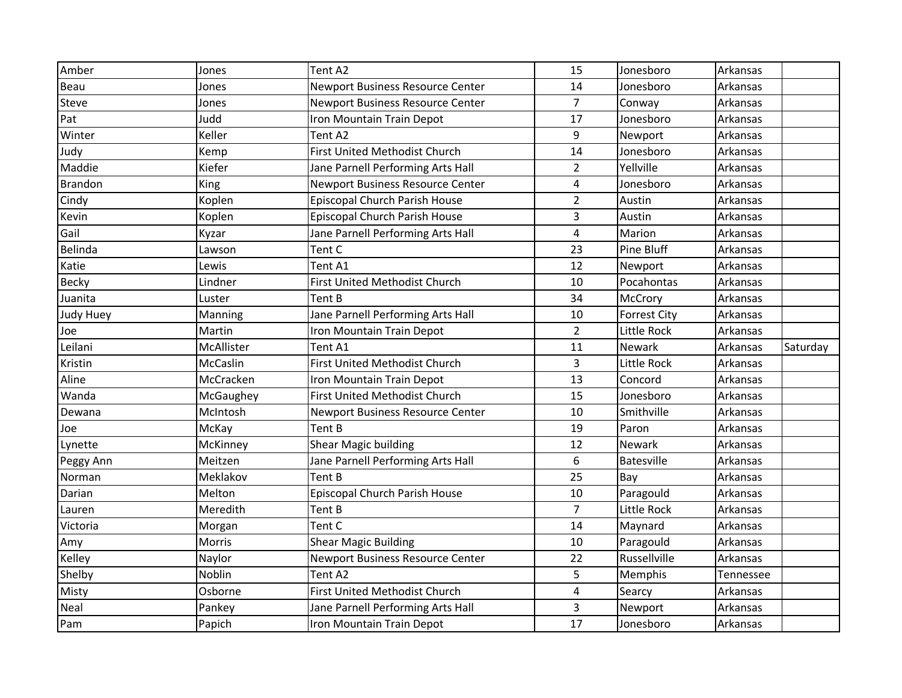| Amber          | Jones      | Tent A2                                 | 15               | Jonesboro           | Arkansas  |          |
|----------------|------------|-----------------------------------------|------------------|---------------------|-----------|----------|
| Beau           | Jones      | <b>Newport Business Resource Center</b> | 14               | Jonesboro           | Arkansas  |          |
| Steve          | Jones      | Newport Business Resource Center        | $\overline{7}$   | Conway              | Arkansas  |          |
| Pat            | Judd       | Iron Mountain Train Depot               | 17               | Jonesboro           | Arkansas  |          |
| Winter         | Keller     | Tent A2                                 | 9                | Newport             | Arkansas  |          |
| Judy           | Kemp       | First United Methodist Church           | 14               | Jonesboro           | Arkansas  |          |
| Maddie         | Kiefer     | Jane Parnell Performing Arts Hall       | $\overline{2}$   | Yellville           | Arkansas  |          |
| <b>Brandon</b> | King       | Newport Business Resource Center        | $\pmb{4}$        | Jonesboro           | Arkansas  |          |
| Cindy          | Koplen     | Episcopal Church Parish House           | $\overline{2}$   | Austin              | Arkansas  |          |
| Kevin          | Koplen     | Episcopal Church Parish House           | $\overline{3}$   | Austin              | Arkansas  |          |
| Gail           | Kyzar      | Jane Parnell Performing Arts Hall       | $\overline{4}$   | Marion              | Arkansas  |          |
| Belinda        | Lawson     | Tent C                                  | 23               | Pine Bluff          | Arkansas  |          |
| Katie          | Lewis      | Tent A1                                 | 12               | Newport             | Arkansas  |          |
| Becky          | Lindner    | First United Methodist Church           | 10               | Pocahontas          | Arkansas  |          |
| Juanita        | Luster     | Tent B                                  | 34               | McCrory             | Arkansas  |          |
| Judy Huey      | Manning    | Jane Parnell Performing Arts Hall       | 10               | <b>Forrest City</b> | Arkansas  |          |
| Joe            | Martin     | Iron Mountain Train Depot               | $\overline{2}$   | Little Rock         | Arkansas  |          |
| Leilani        | McAllister | Tent A1                                 | 11               | Newark              | Arkansas  | Saturday |
| Kristin        | McCaslin   | First United Methodist Church           | $\overline{3}$   | Little Rock         | Arkansas  |          |
| Aline          | McCracken  | Iron Mountain Train Depot               | 13               | Concord             | Arkansas  |          |
| Wanda          | McGaughey  | First United Methodist Church           | 15               | Jonesboro           | Arkansas  |          |
| Dewana         | McIntosh   | Newport Business Resource Center        | 10               | Smithville          | Arkansas  |          |
| Joe            | McKay      | Tent B                                  | 19               | Paron               | Arkansas  |          |
| Lynette        | McKinney   | Shear Magic building                    | 12               | Newark              | Arkansas  |          |
| Peggy Ann      | Meitzen    | Jane Parnell Performing Arts Hall       | $\boldsymbol{6}$ | <b>Batesville</b>   | Arkansas  |          |
| Norman         | Meklakov   | Tent B                                  | 25               | Bay                 | Arkansas  |          |
| Darian         | Melton     | Episcopal Church Parish House           | 10               | Paragould           | Arkansas  |          |
| Lauren         | Meredith   | Tent B                                  | $\overline{7}$   | Little Rock         | Arkansas  |          |
| Victoria       | Morgan     | Tent C                                  | 14               | Maynard             | Arkansas  |          |
| Amy            | Morris     | <b>Shear Magic Building</b>             | 10               | Paragould           | Arkansas  |          |
| Kelley         | Naylor     | Newport Business Resource Center        | 22               | Russellville        | Arkansas  |          |
| Shelby         | Noblin     | Tent A2                                 | 5                | Memphis             | Tennessee |          |
| Misty          | Osborne    | First United Methodist Church           | 4                | Searcy              | Arkansas  |          |
| Neal           | Pankey     | Jane Parnell Performing Arts Hall       | 3                | Newport             | Arkansas  |          |
| Pam            | Papich     | Iron Mountain Train Depot               | 17               | Jonesboro           | Arkansas  |          |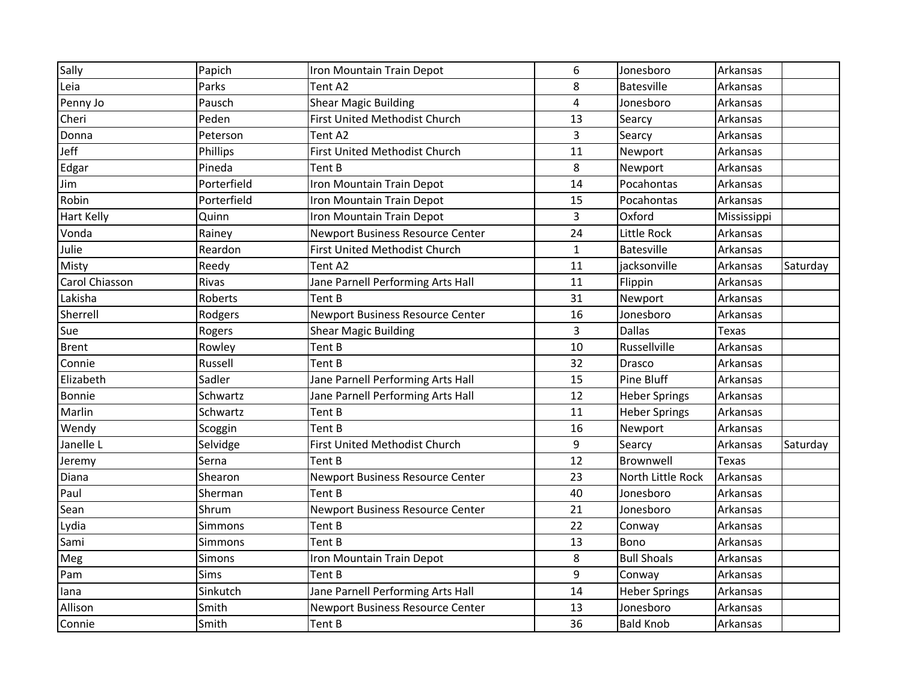| Sally          | Papich      | Iron Mountain Train Depot         | 6            | Jonesboro            | Arkansas     |          |
|----------------|-------------|-----------------------------------|--------------|----------------------|--------------|----------|
| Leia           | Parks       | Tent A2                           | 8            | <b>Batesville</b>    | Arkansas     |          |
| Penny Jo       | Pausch      | <b>Shear Magic Building</b>       | 4            | Jonesboro            | Arkansas     |          |
| Cheri          | Peden       | First United Methodist Church     | 13           | Searcy               | Arkansas     |          |
| Donna          | Peterson    | Tent A2                           | 3            | Searcy               | Arkansas     |          |
| Jeff           | Phillips    | First United Methodist Church     | 11           | Newport              | Arkansas     |          |
| Edgar          | Pineda      | Tent B                            | 8            | Newport              | Arkansas     |          |
| Jim            | Porterfield | Iron Mountain Train Depot         | 14           | Pocahontas           | Arkansas     |          |
| Robin          | Porterfield | Iron Mountain Train Depot         | 15           | Pocahontas           | Arkansas     |          |
| Hart Kelly     | Quinn       | Iron Mountain Train Depot         | 3            | Oxford               | Mississippi  |          |
| Vonda          | Rainey      | Newport Business Resource Center  | 24           | Little Rock          | Arkansas     |          |
| Julie          | Reardon     | First United Methodist Church     | $\mathbf{1}$ | Batesville           | Arkansas     |          |
| Misty          | Reedy       | Tent A2                           | 11           | jacksonville         | Arkansas     | Saturday |
| Carol Chiasson | Rivas       | Jane Parnell Performing Arts Hall | 11           | Flippin              | Arkansas     |          |
| Lakisha        | Roberts     | Tent B                            | 31           | Newport              | Arkansas     |          |
| Sherrell       | Rodgers     | Newport Business Resource Center  | 16           | Jonesboro            | Arkansas     |          |
| Sue            | Rogers      | <b>Shear Magic Building</b>       | 3            | <b>Dallas</b>        | Texas        |          |
| <b>Brent</b>   | Rowley      | Tent B                            | 10           | Russellville         | Arkansas     |          |
| Connie         | Russell     | Tent B                            | 32           | Drasco               | Arkansas     |          |
| Elizabeth      | Sadler      | Jane Parnell Performing Arts Hall | 15           | Pine Bluff           | Arkansas     |          |
| Bonnie         | Schwartz    | Jane Parnell Performing Arts Hall | 12           | <b>Heber Springs</b> | Arkansas     |          |
| Marlin         | Schwartz    | Tent B                            | 11           | <b>Heber Springs</b> | Arkansas     |          |
| Wendy          | Scoggin     | Tent B                            | 16           | Newport              | Arkansas     |          |
| Janelle L      | Selvidge    | First United Methodist Church     | $\mathsf 9$  | Searcy               | Arkansas     | Saturday |
| Jeremy         | Serna       | Tent B                            | 12           | Brownwell            | <b>Texas</b> |          |
| Diana          | Shearon     | Newport Business Resource Center  | 23           | North Little Rock    | Arkansas     |          |
| Paul           | Sherman     | Tent B                            | 40           | Jonesboro            | Arkansas     |          |
| Sean           | Shrum       | Newport Business Resource Center  | 21           | Jonesboro            | Arkansas     |          |
| Lydia          | Simmons     | Tent B                            | 22           | Conway               | Arkansas     |          |
| Sami           | Simmons     | Tent B                            | 13           | Bono                 | Arkansas     |          |
| Meg            | Simons      | Iron Mountain Train Depot         | 8            | <b>Bull Shoals</b>   | Arkansas     |          |
| Pam            | Sims        | Tent B                            | 9            | Conway               | Arkansas     |          |
| lana           | Sinkutch    | Jane Parnell Performing Arts Hall | 14           | <b>Heber Springs</b> | Arkansas     |          |
| Allison        | Smith       | Newport Business Resource Center  | 13           | Jonesboro            | Arkansas     |          |
| Connie         | Smith       | Tent B                            | 36           | <b>Bald Knob</b>     | Arkansas     |          |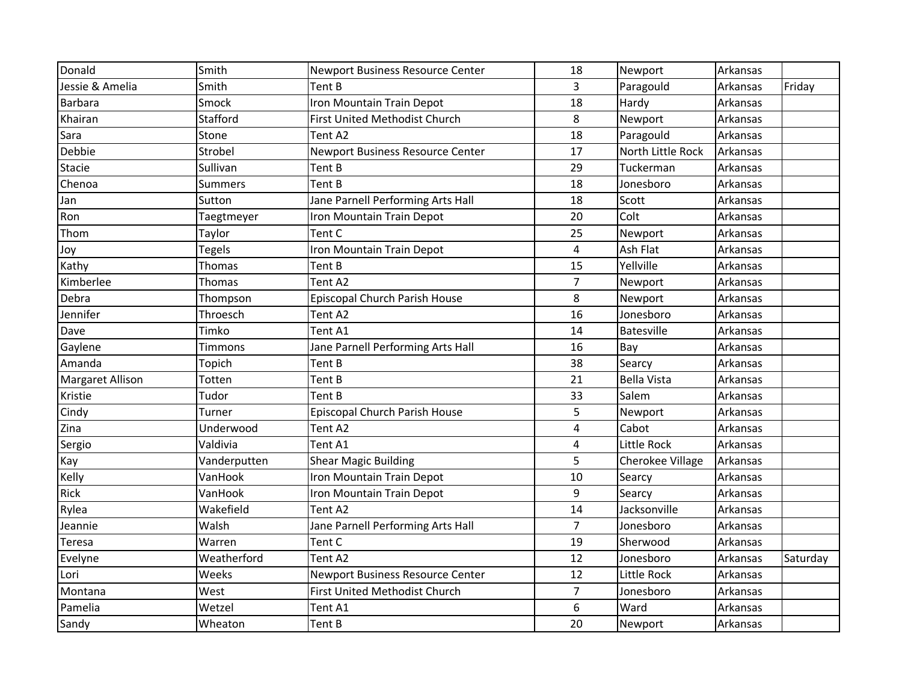| Donald           | Smith          | <b>Newport Business Resource Center</b> | 18                      | Newport            | Arkansas |          |
|------------------|----------------|-----------------------------------------|-------------------------|--------------------|----------|----------|
| Jessie & Amelia  | Smith          | Tent B                                  | 3                       | Paragould          | Arkansas | Friday   |
| <b>Barbara</b>   | Smock          | Iron Mountain Train Depot               | 18                      | Hardy              | Arkansas |          |
| Khairan          | Stafford       | First United Methodist Church           | 8                       | Newport            | Arkansas |          |
| Sara             | Stone          | Tent A2                                 | 18                      | Paragould          | Arkansas |          |
| Debbie           | Strobel        | Newport Business Resource Center        | 17                      | North Little Rock  | Arkansas |          |
| Stacie           | Sullivan       | Tent B                                  | 29                      | Tuckerman          | Arkansas |          |
| Chenoa           | <b>Summers</b> | Tent B                                  | 18                      | Jonesboro          | Arkansas |          |
| Jan              | Sutton         | Jane Parnell Performing Arts Hall       | 18                      | Scott              | Arkansas |          |
| Ron              | Taegtmeyer     | Iron Mountain Train Depot               | 20                      | Colt               | Arkansas |          |
| Thom             | Taylor         | Tent C                                  | 25                      | Newport            | Arkansas |          |
| Joy              | <b>Tegels</b>  | Iron Mountain Train Depot               | $\overline{4}$          | Ash Flat           | Arkansas |          |
| Kathy            | Thomas         | Tent B                                  | 15                      | Yellville          | Arkansas |          |
| Kimberlee        | Thomas         | Tent A2                                 | $\overline{7}$          | Newport            | Arkansas |          |
| Debra            | Thompson       | Episcopal Church Parish House           | 8                       | Newport            | Arkansas |          |
| Jennifer         | Throesch       | Tent A2                                 | 16                      | Jonesboro          | Arkansas |          |
| Dave             | Timko          | Tent A1                                 | 14                      | Batesville         | Arkansas |          |
| Gaylene          | Timmons        | Jane Parnell Performing Arts Hall       | 16                      | Bay                | Arkansas |          |
| Amanda           | Topich         | Tent B                                  | 38                      | Searcy             | Arkansas |          |
| Margaret Allison | Totten         | Tent B                                  | 21                      | <b>Bella Vista</b> | Arkansas |          |
| Kristie          | Tudor          | Tent B                                  | 33                      | Salem              | Arkansas |          |
| Cindy            | Turner         | Episcopal Church Parish House           | 5                       | Newport            | Arkansas |          |
| Zina             | Underwood      | Tent A2                                 | $\overline{\mathbf{4}}$ | Cabot              | Arkansas |          |
| Sergio           | Valdivia       | Tent A1                                 | $\overline{4}$          | Little Rock        | Arkansas |          |
| Kay              | Vanderputten   | <b>Shear Magic Building</b>             | 5                       | Cherokee Village   | Arkansas |          |
| Kelly            | VanHook        | Iron Mountain Train Depot               | 10                      | Searcy             | Arkansas |          |
| Rick             | VanHook        | Iron Mountain Train Depot               | 9                       | Searcy             | Arkansas |          |
| Rylea            | Wakefield      | Tent A2                                 | 14                      | Jacksonville       | Arkansas |          |
| Jeannie          | Walsh          | Jane Parnell Performing Arts Hall       | $\overline{7}$          | Jonesboro          | Arkansas |          |
| Teresa           | Warren         | Tent C                                  | 19                      | Sherwood           | Arkansas |          |
| Evelyne          | Weatherford    | Tent A2                                 | 12                      | Jonesboro          | Arkansas | Saturday |
| Lori             | Weeks          | Newport Business Resource Center        | 12                      | Little Rock        | Arkansas |          |
| Montana          | West           | <b>First United Methodist Church</b>    | $\overline{7}$          | Jonesboro          | Arkansas |          |
| Pamelia          | Wetzel         | Tent A1                                 | 6                       | Ward               | Arkansas |          |
| Sandy            | Wheaton        | Tent B                                  | 20                      | Newport            | Arkansas |          |